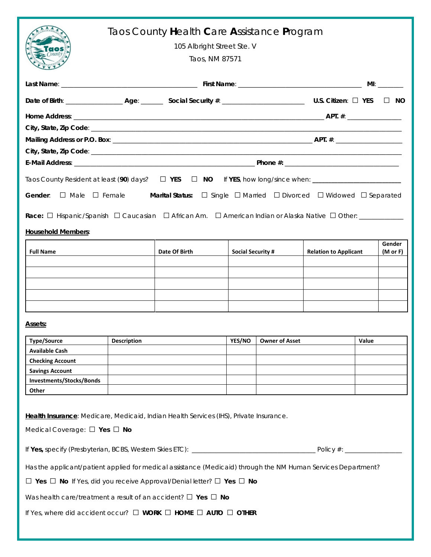|                                                                                                                                                                                                                                                        | Taos County Health Care Assistance Program<br>105 Albright Street Ste. V<br>Taos, NM 87571 |               |                          |                       |                              |       |                    |  |  |  |
|--------------------------------------------------------------------------------------------------------------------------------------------------------------------------------------------------------------------------------------------------------|--------------------------------------------------------------------------------------------|---------------|--------------------------|-----------------------|------------------------------|-------|--------------------|--|--|--|
|                                                                                                                                                                                                                                                        |                                                                                            |               |                          |                       |                              |       |                    |  |  |  |
|                                                                                                                                                                                                                                                        |                                                                                            |               |                          |                       |                              |       | $\Box$ No          |  |  |  |
|                                                                                                                                                                                                                                                        |                                                                                            |               |                          |                       |                              |       |                    |  |  |  |
|                                                                                                                                                                                                                                                        |                                                                                            |               |                          |                       |                              |       |                    |  |  |  |
|                                                                                                                                                                                                                                                        |                                                                                            |               |                          |                       |                              |       |                    |  |  |  |
|                                                                                                                                                                                                                                                        |                                                                                            |               |                          |                       |                              |       |                    |  |  |  |
|                                                                                                                                                                                                                                                        |                                                                                            |               |                          |                       |                              |       |                    |  |  |  |
| Taos County Resident at least (90) days? □ YES □ NO If YES, how long/since when: _________________________<br>$\Box$ Male $\Box$ Female <b>Marital Status:</b> $\Box$ Single $\Box$ Married $\Box$ Divorced $\Box$ Widowed $\Box$ Separated<br>Gender: |                                                                                            |               |                          |                       |                              |       |                    |  |  |  |
|                                                                                                                                                                                                                                                        |                                                                                            |               |                          |                       |                              |       |                    |  |  |  |
| <b>Household Members:</b>                                                                                                                                                                                                                              |                                                                                            |               |                          |                       |                              |       |                    |  |  |  |
| <b>Full Name</b>                                                                                                                                                                                                                                       |                                                                                            | Date Of Birth | <b>Social Security #</b> |                       | <b>Relation to Applicant</b> |       | Gender<br>(M or F) |  |  |  |
|                                                                                                                                                                                                                                                        |                                                                                            |               |                          |                       |                              |       |                    |  |  |  |
|                                                                                                                                                                                                                                                        |                                                                                            |               |                          |                       |                              |       |                    |  |  |  |
|                                                                                                                                                                                                                                                        |                                                                                            |               |                          |                       |                              |       |                    |  |  |  |
|                                                                                                                                                                                                                                                        |                                                                                            |               |                          |                       |                              |       |                    |  |  |  |
|                                                                                                                                                                                                                                                        |                                                                                            |               |                          |                       |                              |       |                    |  |  |  |
| Assets:                                                                                                                                                                                                                                                |                                                                                            |               |                          |                       |                              |       |                    |  |  |  |
| <b>Type/Source</b>                                                                                                                                                                                                                                     | <b>Description</b>                                                                         |               | YES/NO                   | <b>Owner of Asset</b> |                              | Value |                    |  |  |  |
| <b>Available Cash</b>                                                                                                                                                                                                                                  |                                                                                            |               |                          |                       |                              |       |                    |  |  |  |
| <b>Checking Account</b>                                                                                                                                                                                                                                |                                                                                            |               |                          |                       |                              |       |                    |  |  |  |
| <b>Savings Account</b>                                                                                                                                                                                                                                 |                                                                                            |               |                          |                       |                              |       |                    |  |  |  |
| Investments/Stocks/Bonds                                                                                                                                                                                                                               |                                                                                            |               |                          |                       |                              |       |                    |  |  |  |
| Other                                                                                                                                                                                                                                                  |                                                                                            |               |                          |                       |                              |       |                    |  |  |  |
| Health Insurance: Medicare, Medicaid, Indian Health Services (IHS), Private Insurance.<br>Medical Coverage: $\Box$ Yes $\Box$ No                                                                                                                       |                                                                                            |               |                          |                       |                              |       |                    |  |  |  |
|                                                                                                                                                                                                                                                        |                                                                                            |               |                          |                       |                              |       |                    |  |  |  |
| Has the applicant/patient applied for medical assistance (Medicaid) through the NM Human Services Department?                                                                                                                                          |                                                                                            |               |                          |                       |                              |       |                    |  |  |  |
| $\Box$ Yes $\Box$ No If Yes, did you receive Approval/Denial letter? $\Box$ Yes $\Box$ No                                                                                                                                                              |                                                                                            |               |                          |                       |                              |       |                    |  |  |  |
| Was health care/treatment a result of an accident? $\Box$ Yes $\Box$ No                                                                                                                                                                                |                                                                                            |               |                          |                       |                              |       |                    |  |  |  |
| If Yes, where did accident occur? $\Box$ WORK $\Box$ HOME $\Box$ AUTO $\Box$ OTHER                                                                                                                                                                     |                                                                                            |               |                          |                       |                              |       |                    |  |  |  |